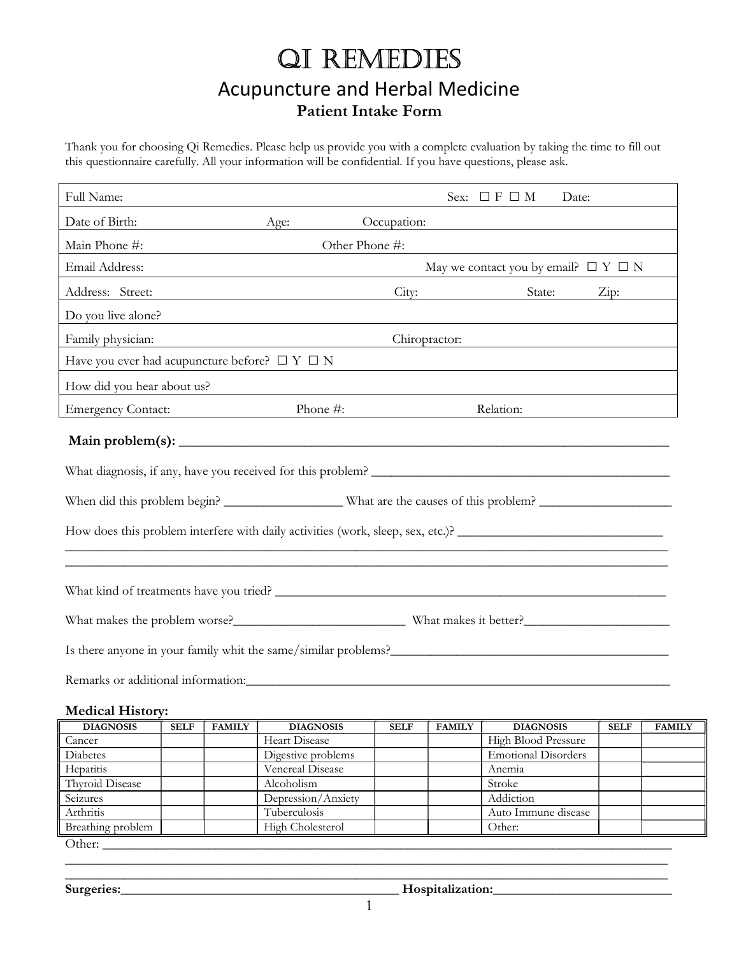# QI REMEDIES Acupuncture and Herbal Medicine Patient Intake Form

Thank you for choosing Qi Remedies. Please help us provide you with a complete evaluation by taking the time to fill out this questionnaire carefully. All your information will be confidential. If you have questions, please ask.

| Full Name:                                                                                                                                                                                                                           |                                                                                                    |                                                                                                                      | Sex: $\Box$ F $\Box$ M<br>Date: |  |  |
|--------------------------------------------------------------------------------------------------------------------------------------------------------------------------------------------------------------------------------------|----------------------------------------------------------------------------------------------------|----------------------------------------------------------------------------------------------------------------------|---------------------------------|--|--|
| Date of Birth:                                                                                                                                                                                                                       | Age:                                                                                               | Occupation:                                                                                                          |                                 |  |  |
| Main Phone #:                                                                                                                                                                                                                        |                                                                                                    | Other Phone #:                                                                                                       |                                 |  |  |
| Email Address:                                                                                                                                                                                                                       | May we contact you by email? $\Box Y \Box N$<br><u> 1989 - Johann Barn, amerikansk politiker (</u> |                                                                                                                      |                                 |  |  |
| Address: Street:                                                                                                                                                                                                                     | <u> 1980 - Johann Barn, fransk politik (d. 1980)</u>                                               |                                                                                                                      | City: State: Zip:               |  |  |
| Do you live alone?                                                                                                                                                                                                                   |                                                                                                    |                                                                                                                      |                                 |  |  |
| Family physician:                                                                                                                                                                                                                    |                                                                                                    | Chiropractor:                                                                                                        |                                 |  |  |
| Have you ever had acupuncture before? $\square Y \square N$                                                                                                                                                                          |                                                                                                    |                                                                                                                      |                                 |  |  |
| How did you hear about us?                                                                                                                                                                                                           |                                                                                                    | <u> 1980 - Jan Samuel Barbara, martin da shekara tsara 1980 - Andrea Samuel Barbara, mashrida a shekara tsara 19</u> |                                 |  |  |
| <b>Emergency Contact:</b>                                                                                                                                                                                                            | Phone #:                                                                                           |                                                                                                                      | Relation:                       |  |  |
|                                                                                                                                                                                                                                      |                                                                                                    |                                                                                                                      |                                 |  |  |
|                                                                                                                                                                                                                                      |                                                                                                    |                                                                                                                      |                                 |  |  |
|                                                                                                                                                                                                                                      |                                                                                                    |                                                                                                                      |                                 |  |  |
| How does this problem interfere with daily activities (work, sleep, sex, etc.)?                                                                                                                                                      |                                                                                                    |                                                                                                                      |                                 |  |  |
|                                                                                                                                                                                                                                      |                                                                                                    |                                                                                                                      |                                 |  |  |
|                                                                                                                                                                                                                                      |                                                                                                    |                                                                                                                      |                                 |  |  |
| What makes the problem worse?<br>What makes it better?                                                                                                                                                                               |                                                                                                    |                                                                                                                      |                                 |  |  |
| Is there anyone in your family whit the same/similar problems?<br><u>Letting and the same of the same</u> of the same of the same of the same of the same of the same of the same of the same of the same of the same of the same of |                                                                                                    |                                                                                                                      |                                 |  |  |
| Remarks or additional information: University of the contract of the contract of the contract of the contract of the contract of the contract of the contract of the contract of the contract of the contract of the contract        |                                                                                                    |                                                                                                                      |                                 |  |  |

#### Medical History:

| <b>DIAGNOSIS</b>  | <b>SELF</b> | <b>FAMILY</b> | <b>DIAGNOSIS</b>    | <b>SELF</b> | <b>FAMILY</b> | <b>DIAGNOSIS</b>           | <b>SELF</b> | <b>FAMILY</b> |
|-------------------|-------------|---------------|---------------------|-------------|---------------|----------------------------|-------------|---------------|
| Cancer            |             |               | Heart Disease       |             |               | High Blood Pressure        |             |               |
| Diabetes          |             |               | Digestive problems  |             |               | <b>Emotional Disorders</b> |             |               |
| Hepatitis         |             |               | Venereal Disease    |             |               | Anemia                     |             |               |
| Thyroid Disease   |             |               | Alcoholism          |             |               | Stroke                     |             |               |
| Seizures          |             |               | Depression/Anxiety  |             |               | Addiction                  |             |               |
| Arthritis         |             |               | <b>Tuberculosis</b> |             |               | Auto Immune disease        |             |               |
| Breathing problem |             |               | High Cholesterol    |             |               | Other:                     |             |               |
| Other:            |             |               |                     |             |               |                            |             |               |

Surgeries:\_\_\_\_\_\_\_\_\_\_\_\_\_\_\_\_\_\_\_\_\_\_\_\_\_\_\_\_\_\_\_\_\_\_\_\_\_\_\_\_\_\_ Hospitalization:\_\_\_\_\_\_\_\_\_\_\_\_\_\_\_\_\_\_\_\_\_\_\_\_\_\_\_

\_\_\_\_\_\_\_\_\_\_\_\_\_\_\_\_\_\_\_\_\_\_\_\_\_\_\_\_\_\_\_\_\_\_\_\_\_\_\_\_\_\_\_\_\_\_\_\_\_\_\_\_\_\_\_\_\_\_\_\_\_\_\_\_\_\_\_\_\_\_\_\_\_\_\_\_\_\_\_\_\_\_\_\_\_\_\_\_\_\_\_ \_\_\_\_\_\_\_\_\_\_\_\_\_\_\_\_\_\_\_\_\_\_\_\_\_\_\_\_\_\_\_\_\_\_\_\_\_\_\_\_\_\_\_\_\_\_\_\_\_\_\_\_\_\_\_\_\_\_\_\_\_\_\_\_\_\_\_\_\_\_\_\_\_\_\_\_\_\_\_\_\_\_\_\_\_\_\_\_\_\_\_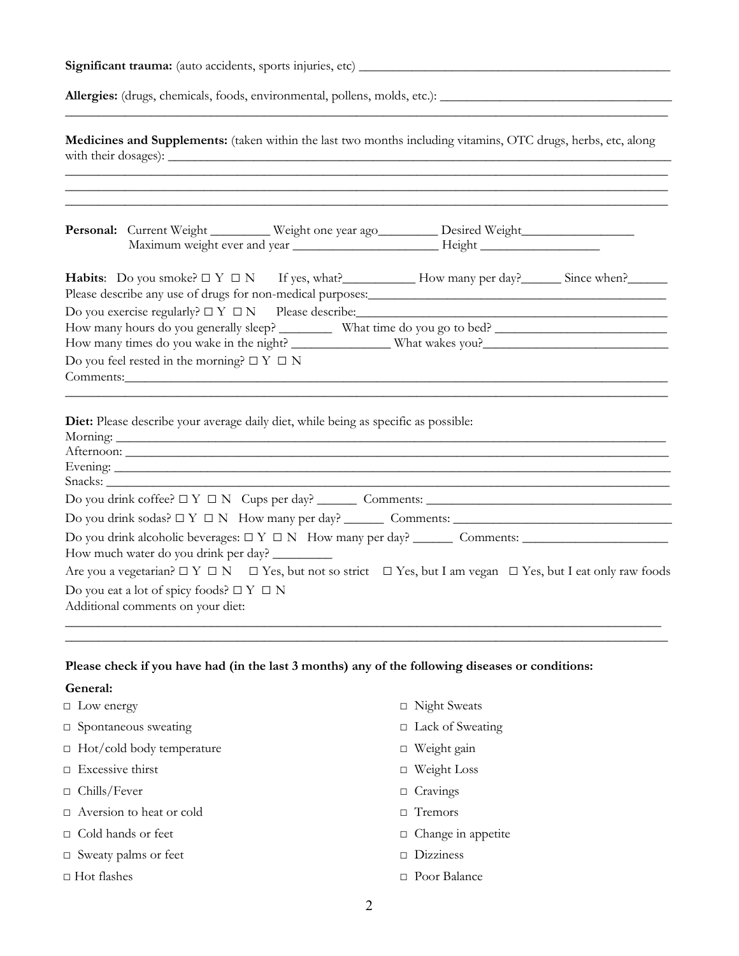Significant trauma: (auto accidents, sports injuries, etc) \_\_\_\_\_\_\_\_\_\_\_\_\_\_\_\_\_\_\_\_\_\_\_\_\_\_\_\_\_\_\_\_\_\_\_\_\_\_\_\_\_\_\_\_\_\_\_

Allergies: (drugs, chemicals, foods, environmental, pollens, molds, etc.): \_\_\_\_\_\_\_\_\_\_\_\_\_\_\_\_\_\_\_\_\_\_\_\_\_\_\_\_\_\_\_\_\_\_\_

Medicines and Supplements: (taken within the last two months including vitamins, OTC drugs, herbs, etc, along with their dosages):  $\_\_$ 

\_\_\_\_\_\_\_\_\_\_\_\_\_\_\_\_\_\_\_\_\_\_\_\_\_\_\_\_\_\_\_\_\_\_\_\_\_\_\_\_\_\_\_\_\_\_\_\_\_\_\_\_\_\_\_\_\_\_\_\_\_\_\_\_\_\_\_\_\_\_\_\_\_\_\_\_\_\_\_\_\_\_\_\_\_\_\_\_\_\_\_

|                                                                                                            | Personal: Current Weight ________ Weight one year ago________ Desired Weight___________                                                                                                                                        |  |
|------------------------------------------------------------------------------------------------------------|--------------------------------------------------------------------------------------------------------------------------------------------------------------------------------------------------------------------------------|--|
|                                                                                                            | Maximum weight ever and year _______________________________Height ______________                                                                                                                                              |  |
|                                                                                                            | Habits: Do you smoke? $\Box Y \Box N$ If yes, what? How many per day? Since when?                                                                                                                                              |  |
|                                                                                                            |                                                                                                                                                                                                                                |  |
|                                                                                                            |                                                                                                                                                                                                                                |  |
|                                                                                                            | How many hours do you generally sleep? ___________ What time do you go to bed? _______________________________                                                                                                                 |  |
|                                                                                                            |                                                                                                                                                                                                                                |  |
| Do you feel rested in the morning? $\Box Y \Box N$                                                         |                                                                                                                                                                                                                                |  |
|                                                                                                            |                                                                                                                                                                                                                                |  |
| Comments: Comments:<br>Diet: Please describe your average daily diet, while being as specific as possible: |                                                                                                                                                                                                                                |  |
|                                                                                                            | Evening: example and the contract of the contract of the contract of the contract of the contract of the contract of the contract of the contract of the contract of the contract of the contract of the contract of the contr |  |
|                                                                                                            |                                                                                                                                                                                                                                |  |
|                                                                                                            | $Do you drink coffee? \Box Y \Box N Cups per day? _______ Comments: _______$                                                                                                                                                   |  |
| How much water do you drink per day?                                                                       |                                                                                                                                                                                                                                |  |
|                                                                                                            | Are you a vegetarian? $\Box Y \Box N$ $\Box$ Yes, but not so strict $\Box$ Yes, but I am vegan $\Box$ Yes, but I eat only raw foods                                                                                            |  |
| Do you eat a lot of spicy foods? $\Box Y \Box N$<br>Additional comments on your diet:                      |                                                                                                                                                                                                                                |  |

#### Please check if you have had (in the last 3 months) any of the following diseases or conditions:

#### General:

| $\Box$ Low energy                | $\Box$ Night Sweats       |
|----------------------------------|---------------------------|
| $\Box$ Spontaneous sweating      | $\Box$ Lack of Sweating   |
| $\Box$ Hot/cold body temperature | $\Box$ Weight gain        |
| $\Box$ Excessive thirst          | $\Box$ Weight Loss        |
| $\Box$ Chills/Fever              | $\Box$ Cravings           |
| $\Box$ Aversion to heat or cold  | $\Box$ Tremors            |
| $\Box$ Cold hands or feet        | $\Box$ Change in appetite |
| $\Box$ Sweaty palms or feet      | Dizziness<br>П.           |
| $\Box$ Hot flashes               | $\Box$ Poor Balance       |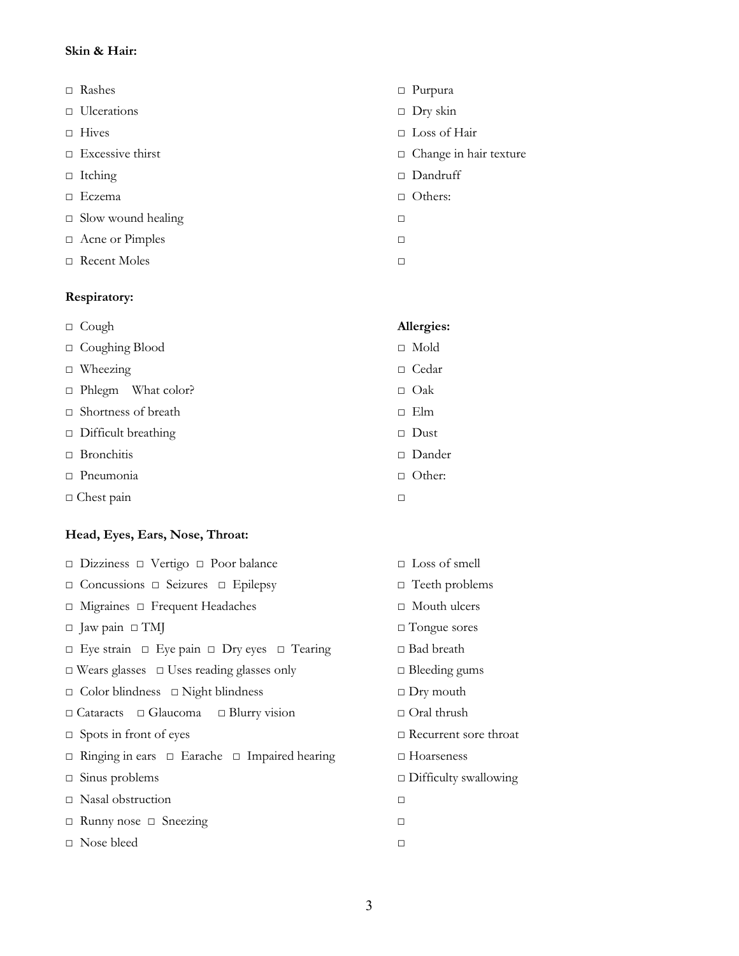#### Skin & Hair:

- 
- □ Ulcerations □ Dry skin
- 
- 
- □ Itching □ Dandruff
- □ Eczema □ Others:
- □ Slow wound healing □
- □ Acne or Pimples □
- □ Recent Moles □

#### Respiratory:

□ Cough Allergies: □ Coughing Blood □ Mold □ Wheezing □ Cedar □ Phlegm What color? □ Oak □ Shortness of breath □ Elm □ Difficult breathing □ Dust □ Bronchitis □ Dander □ Pneumonia □ Other: □ Chest pain □

### Head, Eyes, Ears, Nose, Throat:

| $\Box$ Dizziness $\Box$ Vertigo $\Box$ Poor balance              | $\Box$ Loss of smell         |
|------------------------------------------------------------------|------------------------------|
| $\Box$ Concussions $\Box$ Seizures $\Box$ Epilepsy               | $\Box$ Teeth problems        |
| $\Box$ Migraines $\Box$ Frequent Headaches                       | $\Box$ Mouth ulcers          |
| $\Box$ Jaw pain $\Box$ TMJ                                       | $\Box$ Tongue sores          |
| $\Box$ Eye strain $\Box$ Eye pain $\Box$ Dry eyes $\Box$ Tearing | $\Box$ Bad breath            |
| $\Box$ Wears glasses $\Box$ Uses reading glasses only            | $\Box$ Bleeding gums         |
| $\Box$ Color blindness $\Box$ Night blindness                    | $\Box$ Dry mouth             |
| $\Box$ Cataracts $\Box$ Glaucoma $\Box$ Blurry vision            | $\Box$ Oral thrush           |
| $\Box$ Spots in front of eyes                                    | $\Box$ Recurrent sore throat |
| $\Box$ Ringing in ears $\Box$ Earache $\Box$ Impaired hearing    | $\Box$ Hoarseness            |
| $\Box$ Sinus problems                                            | $\Box$ Difficulty swallowing |
| $\Box$ Nasal obstruction                                         | $\Box$                       |
| $\Box$ Runny nose $\Box$ Sneezing                                | □                            |
| $\Box$ Nose bleed                                                | $\Box$                       |
|                                                                  |                              |

- □ Rashes □ Purpura
	-
- □ Hives □ Loss of Hair
- □ Excessive thirst □ Change in hair texture
	-
	-
	-
	-
	-

- 
-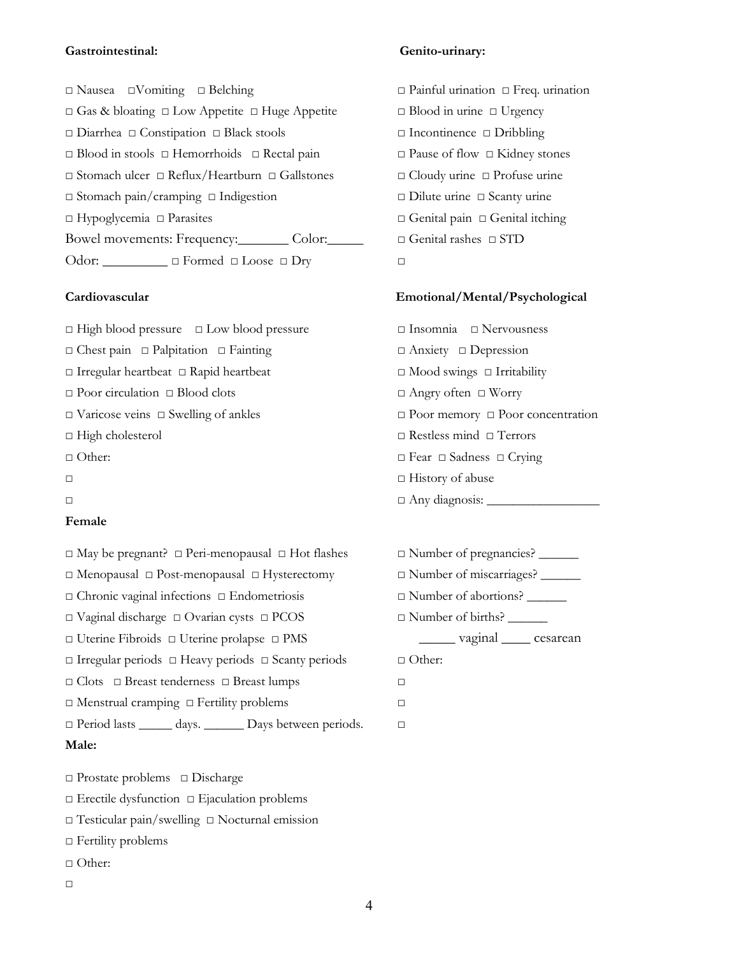#### Gastrointestinal: Genito-urinary:

□ Nausea □Vomiting □ Belching □ Painful urination □ Freq. urination □ Gas & bloating □ Low Appetite □ Huge Appetite □ Blood in urine □ Urgency □ Diarrhea □ Constipation □ Black stools □ Incontinence □ Dribbling □ Blood in stools □ Hemorrhoids □ Rectal pain □ Pause of flow □ Kidney stones □ Stomach ulcer □ Reflux/Heartburn □ Gallstones □ Cloudy urine □ Profuse urine □ Stomach pain/cramping □ Indigestion □ Dilute urine □ Scanty urine □ Hypoglycemia □ Parasites □ Genital pain □ Genital itching Bowel movements: Frequency:\_\_\_\_\_\_\_ Color:\_\_\_\_\_ □ Genital rashes □ STD Odor: \_\_\_\_\_\_\_\_ □ Formed □ Loose □ Dry □

□ High blood pressure □ Low blood pressure □ Insomnia □ Nervousness □ Chest pain □ Palpitation □ Fainting □ Anxiety □ Depression □ Irregular heartbeat □ Rapid heartbeat □ Mood swings □ Irritability □ Poor circulation □ Blood clots □ Angry often □ Worry □ Varicose veins □ Swelling of ankles □ Poor memory □ Poor concentration □ High cholesterol □ Restless mind □ Terrors □ Other: □ Fear □ Sadness □ Crying  $\Box$  History of abuse  $\Box$   $\Box$  Any diagnosis:  $\Box$ 

#### Female

- □ Menopausal □ Post-menopausal □ Hysterectomy □ Number of miscarriages? \_\_\_\_\_\_ □ Chronic vaginal infections □ Endometriosis □ Number of abortions? \_\_\_\_\_\_ □ Vaginal discharge □ Ovarian cysts □ PCOS □ Number of births? \_\_\_\_\_\_ □ Uterine Fibroids □ Uterine prolapse □ PMS \_\_\_\_\_ vaginal \_\_\_\_ cesarean □ Irregular periods □ Heavy periods □ Scanty periods □ Other:
- □ Clots □ Breast tenderness □ Breast lumps □
- □ Menstrual cramping □ Fertility problems □
- □ Period lasts \_\_\_\_\_ days. \_\_\_\_\_\_ Days between periods. □

#### Male:

□ Prostate problems □ Discharge

- □ Erectile dysfunction □ Ejaculation problems
- □ Testicular pain/swelling □ Nocturnal emission
- □ Fertility problems
- □ Other:
- $\Box$

- 
- 

#### Cardiovascular Emotional/Mental/Psychological

- 
- □ May be pregnant? □ Peri-menopausal □ Hot flashes □ Number of pregnancies? \_\_\_\_\_\_
	-
	-
	-